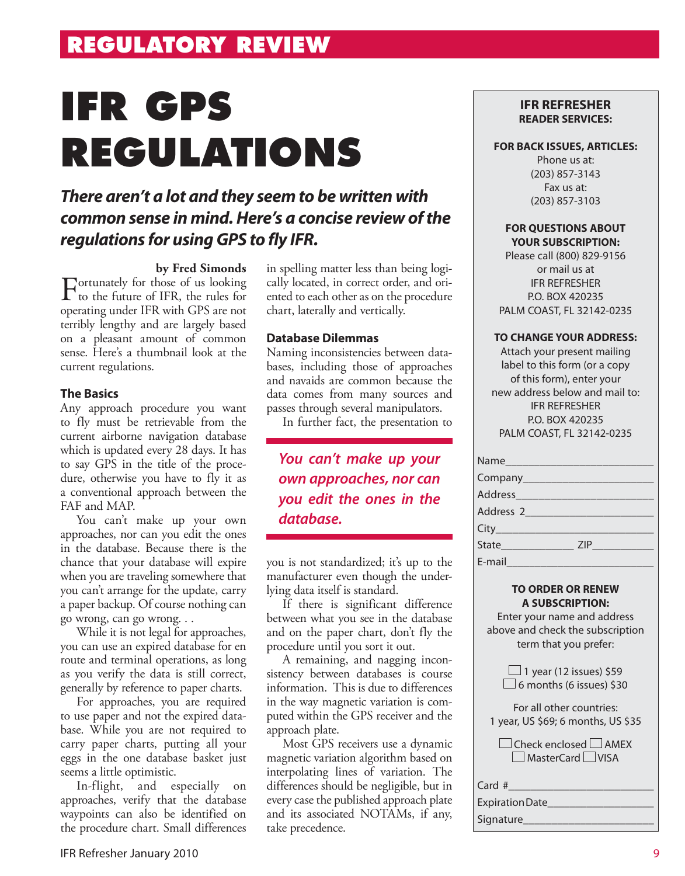# **IFR GPS REGULATIONS**

### *There aren't a lot and they seem to be written with common sense in mind. Here's a concise review of the regulations for using GPS to fly IFR.*

#### **by Fred Simonds**

Fortunately for those of us looking<br>to the future of IFR, the rules for<br>examples IFB with CBS are not operating under IFR with GPS are not terribly lengthy and are largely based on a pleasant amount of common sense. Here's a thumbnail look at the current regulations.

#### **The Basics**

Any approach procedure you want to fly must be retrievable from the current airborne navigation database which is updated every 28 days. It has to say GPS in the title of the procedure, otherwise you have to fly it as a conventional approach between the FAF and MAP.

You can't make up your own approaches, nor can you edit the ones in the database. Because there is the chance that your database will expire when you are traveling somewhere that you can't arrange for the update, carry a paper backup. Of course nothing can go wrong, can go wrong. . .

While it is not legal for approaches, you can use an expired database for en route and terminal operations, as long as you verify the data is still correct, generally by reference to paper charts.

For approaches, you are required to use paper and not the expired database. While you are not required to carry paper charts, putting all your eggs in the one database basket just seems a little optimistic.

In-flight, and especially on approaches, verify that the database waypoints can also be identified on the procedure chart. Small differences in spelling matter less than being logically located, in correct order, and oriented to each other as on the procedure chart, laterally and vertically.

#### **Database Dilemmas**

Naming inconsistencies between databases, including those of approaches and navaids are common because the data comes from many sources and passes through several manipulators.

In further fact, the presentation to

*You can't make up your own approaches, nor can you edit the ones in the database.* 

you is not standardized; it's up to the manufacturer even though the underlying data itself is standard.

If there is significant difference between what you see in the database and on the paper chart, don't fly the procedure until you sort it out.

A remaining, and nagging inconsistency between databases is course information. This is due to differences in the way magnetic variation is computed within the GPS receiver and the approach plate.

Most GPS receivers use a dynamic magnetic variation algorithm based on interpolating lines of variation. The differences should be negligible, but in every case the published approach plate and its associated NOTAMs, if any, take precedence.

#### **IFR REFRESHER READER SERVICES:**

#### **FOR BACK ISSUES, ARTICLES:**

Phone us at: (203) 857-3143 Fax us at: (203) 857-3103

#### **FOR QUESTIONS ABOUT YOUR SUBSCRIPTION:**

Please call (800) 829-9156 or mail us at IFR REFRESHER P.O. BOX 420235 PALM COAST, FL 32142-0235

#### **TO CHANGE YOUR ADDRESS:**

Attach your present mailing label to this form (or a copy of this form), enter your new address below and mail to: IFR REFRESHER P.O. BOX 420235 PALM COAST, FL 32142-0235

| Name_____            |            |
|----------------------|------------|
| Company_____________ |            |
| Address______        |            |
| Address <sub>2</sub> |            |
|                      |            |
|                      | <b>ZIP</b> |
| E-mail               |            |

#### **TO ORDER OR RENEW A SUBSCRIPTION:**

Enter your name and address above and check the subscription term that you prefer:

> $\Box$  1 year (12 issues) \$59  $\Box$  6 months (6 issues) \$30

| For all other countries:           |
|------------------------------------|
| 1 year, US \$69; 6 months, US \$35 |

 $\Box$  Check enclosed  $\Box$  AMEX MasterCard VISA

 $Card$ #

Expiration Date\_

Signature\_\_\_\_\_\_\_\_\_\_\_\_\_\_\_\_\_\_\_\_\_\_\_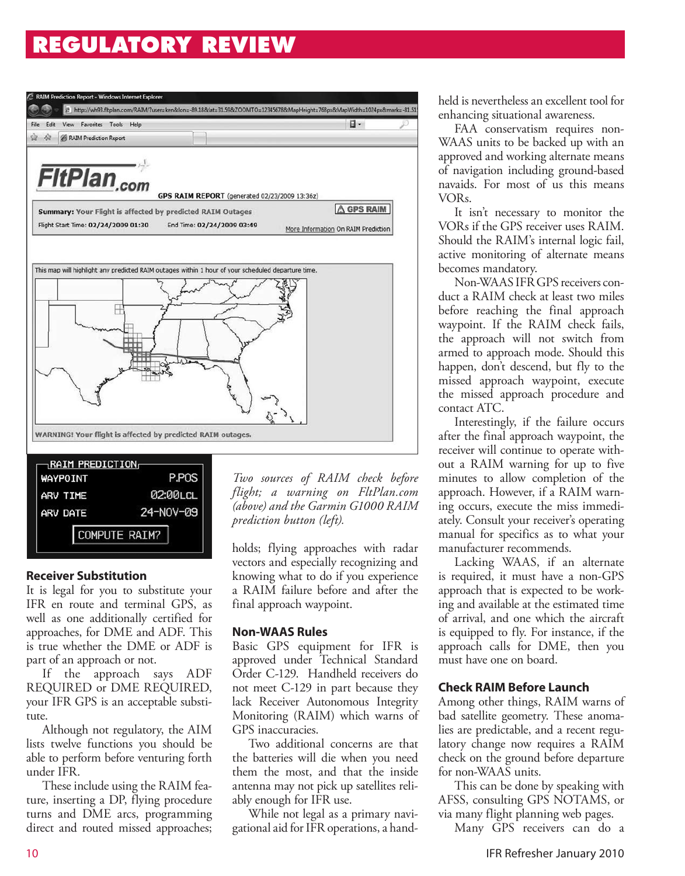# **REGULATORY REVIEW**



#### **Receiver Substitution**

**ARV DATE** 

It is legal for you to substitute your IFR en route and terminal GPS, as well as one additionally certified for approaches, for DME and ADF. This is true whether the DME or ADF is part of an approach or not.

**COMPUTE RAIM?** 

24-NOV-09

If the approach says ADF REQUIRED or DME REQUIRED, your IFR GPS is an acceptable substitute.

Although not regulatory, the AIM lists twelve functions you should be able to perform before venturing forth under IFR.

These include using the RAIM feature, inserting a DP, flying procedure turns and DME arcs, programming direct and routed missed approaches; *(above) and the Garmin G1000 RAIM prediction button (left).*

holds; flying approaches with radar vectors and especially recognizing and knowing what to do if you experience a RAIM failure before and after the final approach waypoint.

#### **Non-WAAS Rules**

Basic GPS equipment for IFR is approved under Technical Standard Order C-129. Handheld receivers do not meet C-129 in part because they lack Receiver Autonomous Integrity Monitoring (RAIM) which warns of GPS inaccuracies.

Two additional concerns are that the batteries will die when you need them the most, and that the inside antenna may not pick up satellites reliably enough for IFR use.

While not legal as a primary navigational aid for IFR operations, a handheld is nevertheless an excellent tool for enhancing situational awareness.

FAA conservatism requires non-WAAS units to be backed up with an approved and working alternate means of navigation including ground-based navaids. For most of us this means VORs.

It isn't necessary to monitor the VORs if the GPS receiver uses RAIM. Should the RAIM's internal logic fail, active monitoring of alternate means becomes mandatory.

Non-WAAS IFR GPS receivers conduct a RAIM check at least two miles before reaching the final approach waypoint. If the RAIM check fails, the approach will not switch from armed to approach mode. Should this happen, don't descend, but fly to the missed approach waypoint, execute the missed approach procedure and contact ATC.

Interestingly, if the failure occurs after the final approach waypoint, the receiver will continue to operate without a RAIM warning for up to five minutes to allow completion of the approach. However, if a RAIM warning occurs, execute the miss immediately. Consult your receiver's operating manual for specifics as to what your manufacturer recommends.

Lacking WAAS, if an alternate is required, it must have a non-GPS approach that is expected to be working and available at the estimated time of arrival, and one which the aircraft is equipped to fly. For instance, if the approach calls for DME, then you must have one on board.

#### **Check RAIM Before Launch**

Among other things, RAIM warns of bad satellite geometry. These anomalies are predictable, and a recent regulatory change now requires a RAIM check on the ground before departure for non-WAAS units.

This can be done by speaking with AFSS, consulting GPS NOTAMS, or via many flight planning web pages.

Many GPS receivers can do a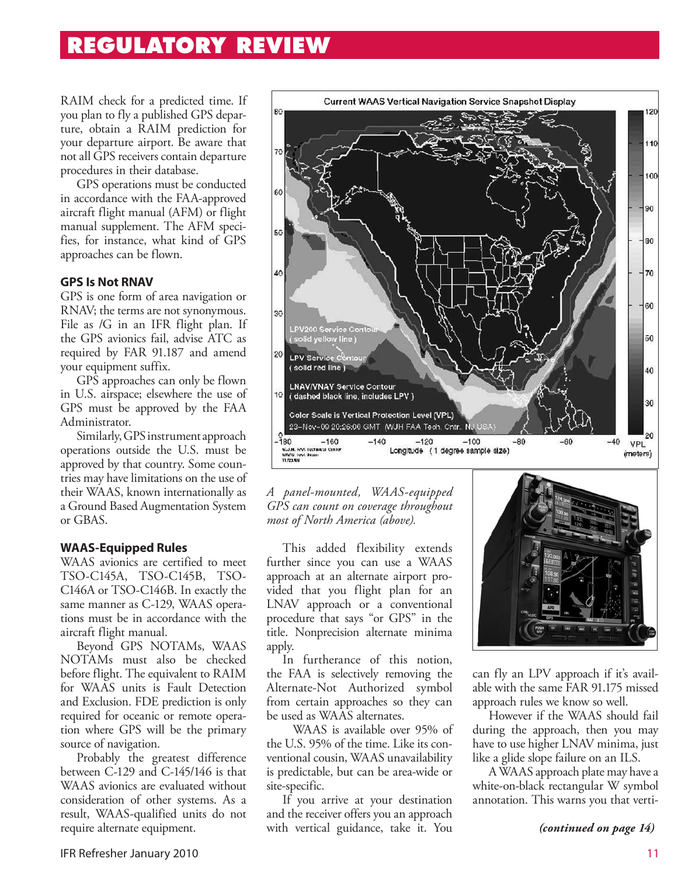## **REGULATORY REVIEW**

RAIM check for a predicted time. If you plan to fly a published GPS departure, obtain a RAIM prediction for your departure airport. Be aware that not all GPS receivers contain departure procedures in their database.

GPS operations must be conducted in accordance with the FAA-approved aircraft flight manual (AFM) or flight manual supplement. The AFM specifies, for instance, what kind of GPS approaches can be flown.

#### **GPS Is Not RNAV**

GPS is one form of area navigation or RNAV; the terms are not synonymous. File as /G in an IFR flight plan. If the GPS avionics fail, advise ATC as required by FAR 91.187 and amend your equipment suffix.

GPS approaches can only be flown in U.S. airspace; elsewhere the use of GPS must be approved by the FAA Administrator.

Similarly, GPS instrument approach operations outside the U.S. must be approved by that country. Some countries may have limitations on the use of their WAAS, known internationally as a Ground Based Augmentation System or GBAS.

#### **WAAS-Equipped Rules**

WAAS avionics are certified to meet TSO-C145A, TSO-C145B, TSO-C146A or TSO-C146B. In exactly the same manner as C-129, WAAS operations must be in accordance with the aircraft flight manual.

Beyond GPS NOTAMs, WAAS NOTAMs must also be checked before flight. The equivalent to RAIM for WAAS units is Fault Detection and Exclusion. FDE prediction is only required for oceanic or remote operation where GPS will be the primary source of navigation.

Probably the greatest difference between C-129 and C-145/146 is that WAAS avionics are evaluated without consideration of other systems. As a result, WAAS-qualified units do not require alternate equipment.



*A panel-mounted, WAAS-equipped GPS can count on coverage throughout most of North America (above).*

This added flexibility extends further since you can use a WAAS approach at an alternate airport provided that you flight plan for an LNAV approach or a conventional procedure that says "or GPS" in the title. Nonprecision alternate minima apply.

In furtherance of this notion, the FAA is selectively removing the Alternate-Not Authorized symbol from certain approaches so they can be used as WAAS alternates.

 WAAS is available over 95% of the U.S. 95% of the time. Like its conventional cousin, WAAS unavailability is predictable, but can be area-wide or site-specific.

If you arrive at your destination and the receiver offers you an approach with vertical guidance, take it. You



can fly an LPV approach if it's available with the same FAR 91.175 missed approach rules we know so well.

However if the WAAS should fail during the approach, then you may have to use higher LNAV minima, just like a glide slope failure on an ILS.

A WAAS approach plate may have a white-on-black rectangular W symbol annotation. This warns you that verti-

*(continued on page 14)*